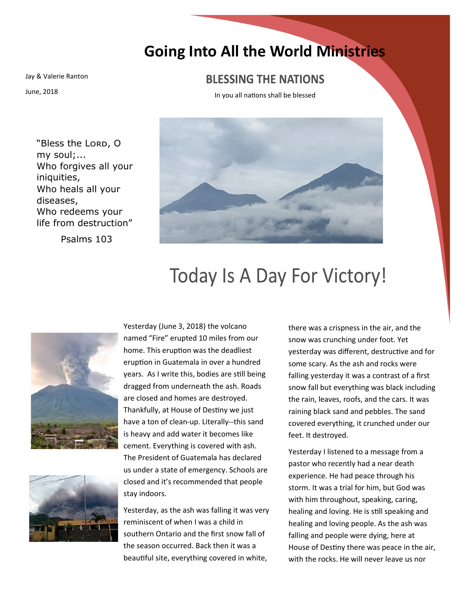## **Going Into All the World Ministries**

Jay & Valerie Ranton

June, 2018

## **BLESSING THE NATIONS**

In you all nations shall be blessed

"Bless the Lorp, O my soul;... Who forgives all your iniquities, Who heals all your diseases, Who redeems your life from destruction"

Psalms 103



## **Today Is A Day For Victory!**





Yesterday (June 3, 2018) the volcano named "Fire" erupted 10 miles from our home. This eruption was the deadliest eruption in Guatemala in over a hundred years. As I write this, bodies are still being dragged from underneath the ash. Roads are closed and homes are destroyed. Thankfully, at House of Destiny we just have a ton of clean-up. Literally--this sand is heavy and add water it becomes like cement. Everything is covered with ash. The President of Guatemala has declared us under a state of emergency. Schools are closed and it's recommended that people stay indoors.

Yesterday, as the ash was falling it was very reminiscent of when I was a child in southern Ontario and the first snow fall of the season occurred. Back then it was a beautiful site, everything covered in white,

there was a crispness in the air, and the snow was crunching under foot. Yet yesterday was different, destructive and for some scary. As the ash and rocks were falling yesterday it was a contrast of a first snow fall but everything was black including the rain, leaves, roofs, and the cars. It was raining black sand and pebbles. The sand covered everything, it crunched under our feet. It destroyed.

Yesterday I listened to a message from a pastor who recently had a near death experience. He had peace through his storm. It was a trial for him, but God was with him throughout, speaking, caring, healing and loving. He is still speaking and healing and loving people. As the ash was falling and people were dying, here at House of Destiny there was peace in the air, with the rocks. He will never leave us nor